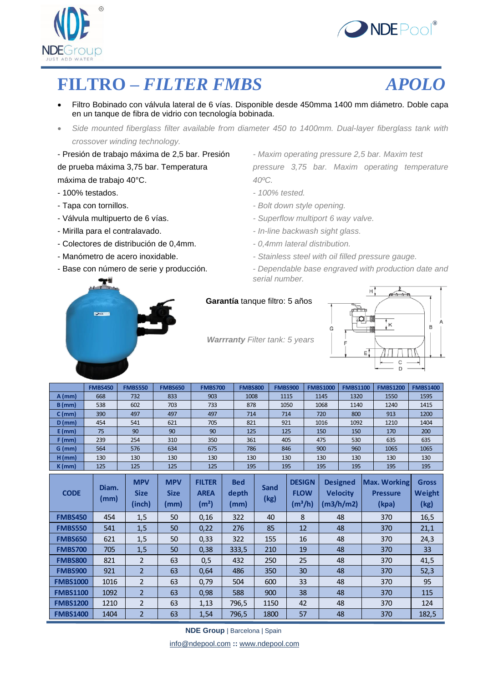



### **FILTRO –** *FILTER FMBS APOLO*

- Filtro Bobinado con válvula lateral de 6 vías. Disponible desde 450mma 1400 mm diámetro. Doble capa en un tanque de fibra de vidrio con tecnología bobinada.
- *Side mounted fiberglass filter available from diameter 450 to 1400mm. Dual-layer fiberglass tank with crossover winding technology.*

- Presión de trabajo máxima de 2,5 bar. Presión *- Maxim operating pressure 2,5 bar. Maxim test* máxima de trabajo 40°C. *40ºC.*

- 100% testados. *- 100% tested.*
- 
- 
- 
- Colectores de distribución de 0,4mm. *- 0,4mm lateral distribution.*
- 
- 

de prueba máxima 3,75 bar. Temperatura *pressure 3,75 bar. Maxim operating temperature*

- 
- Tapa con tornillos. *a a <i>Polt down style opening. Bolt down style opening.*
- Válvula multipuerto de 6 vías. *- Superflow multiport 6 way valve.*
- Mirilla para el contralavado. *- In-line backwash sight glass.*
	-
- Manómetro de acero inoxidable.  *Stainless steel with oil filled pressure gauge*

G

- Base con número de serie y producción. *- Dependable base engraved with production date and serial number.*



#### **Garantía** tanque filtro: 5 años

 *Warrranty Filter tank: 5 years*



|          | <b>FMBS450</b> | <b>FMBS550</b> | <b>FMBS650</b> | <b>FMBS700</b> | <b>FMBS800</b> | <b>FMBS900</b> | <b>FMBS1000</b> | <b>FMBS1100</b> | <b>FMBS1200</b> | <b>FMBS1400</b> |
|----------|----------------|----------------|----------------|----------------|----------------|----------------|-----------------|-----------------|-----------------|-----------------|
| $A$ (mm) | 668            | 732            | 833            | 903            | 1008           | 1115           | 1145            | 1320            | 1550            | 1595            |
| $B$ (mm) | 538            | 602            | 703            | 733            | 878            | 1050           | 1068            | 1140            | 1240            | 1415            |
| $C$ (mm) | 390            | 497            | 497            | 497            | 714            | 714            | 720             | 800             | 913             | 1200            |
| $D$ (mm) | 454            | 541            | 621            | 705            | 821            | 921            | 1016            | 1092            | 1210            | 1404            |
| $E$ (mm) | 75             | 90             | 90             | 90             | 125            | 125            | 150             | 150             | 170             | 200             |
| F (mm)   | 239            | 254            | 310            | 350            | 361            | 405            | 475             | 530             | 635             | 635             |
| $G$ (mm) | 564            | 576            | 634            | 675            | 786            | 846            | 900             | 960             | 1065            | 1065            |
| $H$ (mm) | 130            | 130            | 130            | 130            | 130            | 130            | 130             | 130             | 130             | 130             |
| $K$ (mm) | 125            | 125            | 125            | 125            | 195            | 195            | 195             | 195             | 195             | 195             |

| $K$ (mm)        | 125           | 125                                 | 125                               | 125                                               |                             | 195 |              | 195                                       | 195 | 195                                             | 195                                             | 195                            |
|-----------------|---------------|-------------------------------------|-----------------------------------|---------------------------------------------------|-----------------------------|-----|--------------|-------------------------------------------|-----|-------------------------------------------------|-------------------------------------------------|--------------------------------|
| <b>CODE</b>     | Diam.<br>(mm) | <b>MPV</b><br><b>Size</b><br>(inch) | <b>MPV</b><br><b>Size</b><br>(mm) | <b>FILTER</b><br><b>AREA</b><br>(m <sup>2</sup> ) | <b>Bed</b><br>depth<br>(mm) |     | Sand<br>(kg) | <b>DESIGN</b><br><b>FLOW</b><br>$(m^3/h)$ |     | <b>Designed</b><br><b>Velocity</b><br>(m3/h/m2) | <b>Max. Working</b><br><b>Pressure</b><br>(kpa) | <b>Gross</b><br>Weight<br>(kg) |
| <b>FMBS450</b>  | 454           | 1,5                                 | 50                                | 0,16                                              | 322                         |     | 40           | 8                                         |     | 48                                              | 370                                             | 16,5                           |
| <b>FMBS550</b>  | 541           | 1,5                                 | 50                                | 0,22                                              | 276                         |     | 85           | 12                                        |     | 48                                              | 370                                             | 21,1                           |
| <b>FMBS650</b>  | 621           | 1,5                                 | 50                                | 0,33                                              | 322                         |     | 155          | 16                                        |     | 48                                              | 370                                             | 24,3                           |
| <b>FMBS700</b>  | 705           | 1,5                                 | 50                                | 0,38                                              | 333,5                       |     | 210          | 19                                        |     | 48                                              | 370                                             | 33                             |
| <b>FMBS800</b>  | 821           | $\overline{2}$                      | 63                                | 0,5                                               | 432                         |     | 250          | 25                                        |     | 48                                              | 370                                             | 41,5                           |
| <b>FMBS900</b>  | 921           | $\overline{2}$                      | 63                                | 0,64                                              | 486                         |     | 350          | 30                                        |     | 48                                              | 370                                             | 52,3                           |
| <b>FMBS1000</b> | 1016          | $\overline{2}$                      | 63                                | 0,79                                              | 504                         |     | 600          | 33                                        |     | 48                                              | 370                                             | 95                             |
| <b>FMBS1100</b> | 1092          | $\overline{2}$                      | 63                                | 0,98                                              | 588                         |     | 900          | 38                                        |     | 48                                              | 370                                             | 115                            |
| <b>FMBS1200</b> | 1210          | $\overline{2}$                      | 63                                | 1,13                                              | 796,5                       |     | 1150         | 42                                        |     | 48                                              | 370                                             | 124                            |
| <b>FMBS1400</b> | 1404          | $\overline{2}$                      | 63                                | 1,54                                              | 796,5                       |     | 1800         | 57                                        |     | 48                                              | 370                                             | 182,5                          |

**NDE Group** | Barcelona | Spain

info@ndepool.com **::** www.ndepool.com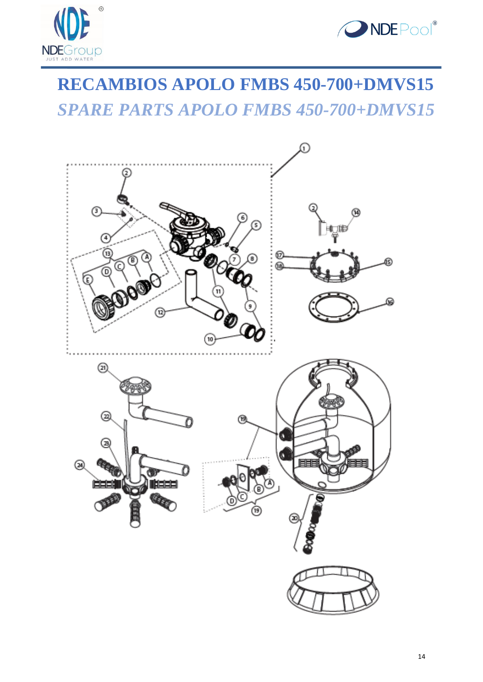



## **RECAMBIOS APOLO FMBS 450-700+DMVS15** *SPARE PARTS APOLO FMBS 450-700+DMVS15*

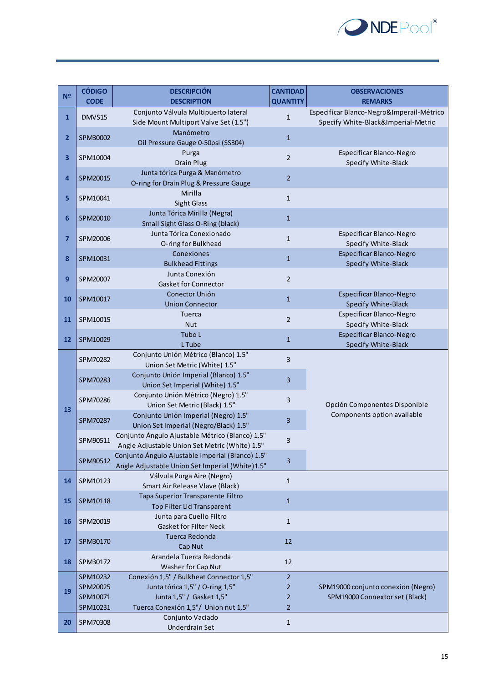

| N <sup>2</sup> | <b>CÓDIGO</b> | <b>DESCRIPCIÓN</b>                                                                                  | <b>CANTIDAD</b> | <b>OBSERVACIONES</b>                                        |
|----------------|---------------|-----------------------------------------------------------------------------------------------------|-----------------|-------------------------------------------------------------|
|                | <b>CODE</b>   | <b>DESCRIPTION</b><br>Conjunto Válvula Multipuerto lateral                                          | <b>QUANTITY</b> | <b>REMARKS</b><br>Especificar Blanco-Negro&Imperail-Métrico |
| $\mathbf{1}$   | DMVS15        | Side Mount Multiport Valve Set (1.5")                                                               | $\mathbf{1}$    | Specify White-Black&Imperial-Metric                         |
| 2              | SPM30002      | Manómetro<br>Oil Pressure Gauge 0-50psi (SS304)                                                     | $\mathbf{1}$    |                                                             |
| 3              | SPM10004      | Purga<br><b>Drain Plug</b>                                                                          | $\overline{2}$  | Especificar Blanco-Negro<br>Specify White-Black             |
| 4              | SPM20015      | Junta tórica Purga & Manómetro<br>O-ring for Drain Plug & Pressure Gauge                            | $\overline{2}$  |                                                             |
| 5              | SPM10041      | Mirilla<br><b>Sight Glass</b>                                                                       | $\mathbf{1}$    |                                                             |
| 6              | SPM20010      | Junta Tórica Mirilla (Negra)<br>Small Sight Glass O-Ring (black)                                    | $\mathbf{1}$    |                                                             |
| $\overline{7}$ | SPM20006      | Junta Tórica Conexionado<br>O-ring for Bulkhead                                                     | $\mathbf{1}$    | Especificar Blanco-Negro<br>Specify White-Black             |
| 8              | SPM10031      | Conexiones<br><b>Bulkhead Fittings</b>                                                              | $\mathbf{1}$    | Especificar Blanco-Negro<br>Specify White-Black             |
| 9              | SPM20007      | Junta Conexión<br><b>Gasket for Connector</b>                                                       | $\overline{2}$  |                                                             |
| 10             | SPM10017      | Conector Unión<br><b>Union Connector</b>                                                            | $\mathbf 1$     | Especificar Blanco-Negro<br>Specify White-Black             |
| 11             | SPM10015      | Tuerca<br><b>Nut</b>                                                                                | $\overline{2}$  | Especificar Blanco-Negro<br>Specify White-Black             |
| 12             | SPM10029      | Tubo L<br>L Tube                                                                                    | $\mathbf{1}$    | Especificar Blanco-Negro<br>Specify White-Black             |
|                | SPM70282      | Conjunto Unión Métrico (Blanco) 1.5"<br>Union Set Metric (White) 1.5"                               | 3               |                                                             |
|                | SPM70283      | Conjunto Unión Imperial (Blanco) 1.5"<br>Union Set Imperial (White) 1.5"                            | 3               |                                                             |
| 13             | SPM70286      | Conjunto Unión Métrico (Negro) 1.5"<br>Union Set Metric (Black) 1.5"                                | 3               | Opción Componentes Disponible                               |
|                | SPM70287      | Conjunto Unión Imperial (Negro) 1.5"<br>Union Set Imperial (Negro/Black) 1.5"                       | 3               | Components option available                                 |
|                | SPM90511      | Conjunto Ángulo Ajustable Métrico (Blanco) 1.5"<br>Angle Adjustable Union Set Metric (White) 1.5"   | 3               |                                                             |
|                | SPM90512      | Conjunto Ángulo Ajustable Imperial (Blanco) 1.5"<br>Angle Adjustable Union Set Imperial (White)1.5" | 3               |                                                             |
| 14             | SPM10123      | Válvula Purga Aire (Negro)<br>Smart Air Release Vlave (Black)                                       | $\mathbf{1}$    |                                                             |
| 15             | SPM10118      | Tapa Superior Transparente Filtro<br>Top Filter Lid Transparent                                     | $\mathbf{1}$    |                                                             |
| 16             | SPM20019      | Junta para Cuello Filtro<br><b>Gasket for Filter Neck</b>                                           | $\mathbf{1}$    |                                                             |
| 17             | SPM30170      | Tuerca Redonda<br>Cap Nut                                                                           | 12              |                                                             |
| 18             | SPM30172      | Arandela Tuerca Redonda<br>Washer for Cap Nut                                                       | 12              |                                                             |
|                | SPM10232      | Conexión 1,5" / Bulkheat Connector 1,5"                                                             | $\overline{2}$  |                                                             |
| 19             | SPM20025      | Junta tórica 1,5" / O-ring 1,5"                                                                     | $\overline{2}$  | SPM19000 conjunto conexión (Negro)                          |
|                | SPM10071      | Junta 1,5" / Gasket 1,5"                                                                            | $\overline{2}$  | SPM19000 Connextor set (Black)                              |
|                | SPM10231      | Tuerca Conexión 1,5"/ Union nut 1,5"                                                                | $\overline{2}$  |                                                             |
| 20             | SPM70308      | Conjunto Vaciado<br><b>Underdrain Set</b>                                                           | $\mathbf{1}$    |                                                             |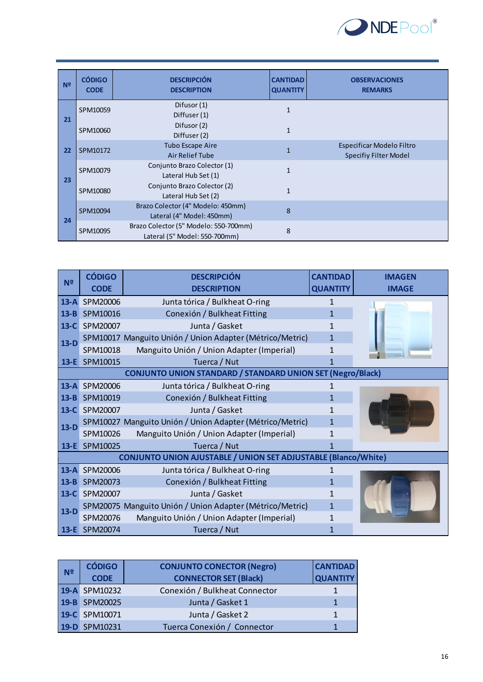

| N <sup>2</sup> | <b>CÓDIGO</b><br><b>CODE</b> | <b>DESCRIPCIÓN</b><br><b>DESCRIPTION</b>                               | <b>CANTIDAD</b><br><b>QUANTITY</b> | <b>OBSERVACIONES</b><br><b>REMARKS</b>                    |
|----------------|------------------------------|------------------------------------------------------------------------|------------------------------------|-----------------------------------------------------------|
|                | SPM10059                     | Difusor (1)<br>Diffuser (1)                                            | 1                                  |                                                           |
| 21             | SPM10060                     | Difusor (2)<br>Diffuser (2)                                            | $\mathbf{1}$                       |                                                           |
| 22             | SPM10172                     | <b>Tubo Escape Aire</b><br>Air Relief Tube                             | $\mathbf{1}$                       | Especificar Modelo Filtro<br><b>Specifiy Filter Model</b> |
| 23             | SPM10079                     | Conjunto Brazo Colector (1)<br>Lateral Hub Set (1)                     | $\mathbf{1}$                       |                                                           |
|                | SPM10080                     | Conjunto Brazo Colector (2)<br>Lateral Hub Set (2)                     | $\mathbf{1}$                       |                                                           |
|                | SPM10094                     | Brazo Colector (4" Modelo: 450mm)<br>Lateral (4" Model: 450mm)         | 8                                  |                                                           |
| 24             | SPM10095                     | Brazo Colector (5" Modelo: 550-700mm)<br>Lateral (5" Model: 550-700mm) | 8                                  |                                                           |

|                | <b>CÓDIGO</b> | <b>DESCRIPCIÓN</b>                                                | <b>CANTIDAD</b> | <b>IMAGEN</b> |
|----------------|---------------|-------------------------------------------------------------------|-----------------|---------------|
| N <sup>2</sup> | <b>CODE</b>   | <b>DESCRIPTION</b>                                                | <b>QUANTITY</b> | <b>IMAGE</b>  |
|                | 13-A SPM20006 | Junta tórica / Bulkheat O-ring                                    | $\mathbf{1}$    |               |
| $13 - B$       | SPM10016      | Conexión / Bulkheat Fitting                                       | 1               |               |
| $13-C$         | SPM20007      | Junta / Gasket                                                    | 1               |               |
| $13-D$         |               | SPM10017 Manguito Unión / Union Adapter (Métrico/Metric)          | 1               |               |
|                | SPM10018      | Manguito Unión / Union Adapter (Imperial)                         | 1               |               |
|                | 13-E SPM10015 | Tuerca / Nut                                                      | 1               |               |
|                |               | <b>CONJUNTO UNION STANDARD / STANDARD UNION SET (Negro/Black)</b> |                 |               |
| $13-A$         | SPM20006      | Junta tórica / Bulkheat O-ring                                    | 1               |               |
| $13 - B$       | SPM10019      | Conexión / Bulkheat Fitting                                       | 1               |               |
| $13-C$         | SPM20007      | Junta / Gasket                                                    | 1               |               |
| $13-D$         |               | SPM10027 Manguito Unión / Union Adapter (Métrico/Metric)          | 1               |               |
|                | SPM10026      | Manguito Unión / Union Adapter (Imperial)                         | 1               |               |
|                | 13-E SPM10025 | Tuerca / Nut                                                      | 1               |               |
|                |               | CONJUNTO UNION AJUSTABLE / UNION SET ADJUSTABLE (Blanco/White)    |                 |               |
| $13 - A$       | SPM20006      | Junta tórica / Bulkheat O-ring                                    | 1               |               |
| $13 - B$       | SPM20073      | Conexión / Bulkheat Fitting                                       | 1               |               |
| $13-C$         | SPM20007      | Junta / Gasket                                                    | 1               |               |
| $13-D$         |               | SPM20075 Manguito Unión / Union Adapter (Métrico/Metric)          | 1               |               |
|                | SPM20076      | Manguito Unión / Union Adapter (Imperial)                         | 1               |               |
|                | 13-E SPM20074 | Tuerca / Nut                                                      | 1               |               |

| N <sub>2</sub> | <b>CÓDIGO</b> | <b>CONJUNTO CONECTOR (Negro)</b> | <b>CANTIDAD</b> |
|----------------|---------------|----------------------------------|-----------------|
|                | <b>CODE</b>   | <b>CONNECTOR SET (Black)</b>     | <b>QUANTITY</b> |
|                | 19-A SPM10232 | Conexión / Bulkheat Connector    |                 |
|                | 19-B SPM20025 | Junta / Gasket 1                 |                 |
|                | 19-C SPM10071 | Junta / Gasket 2                 |                 |
|                | 19-D SPM10231 | Tuerca Conexión / Connector      |                 |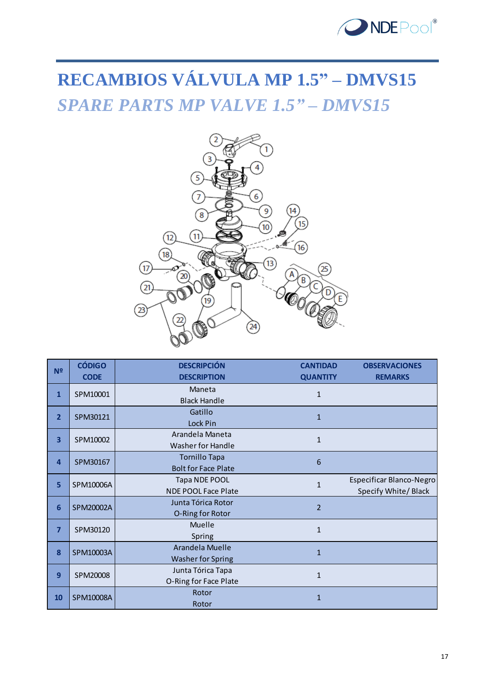

# **RECAMBIOS VÁLVULA MP 1.5" – DMVS15** *SPARE PARTS MP VALVE 1.5" – DMVS15*



| N <sub>2</sub> | <b>CÓDIGO</b> | <b>DESCRIPCIÓN</b>         | <b>CANTIDAD</b> | <b>OBSERVACIONES</b>     |
|----------------|---------------|----------------------------|-----------------|--------------------------|
|                | <b>CODE</b>   | <b>DESCRIPTION</b>         | <b>QUANTITY</b> | <b>REMARKS</b>           |
| $\mathbf{1}$   | SPM10001      | Maneta                     | $\mathbf{1}$    |                          |
|                |               | <b>Black Handle</b>        |                 |                          |
| $\overline{2}$ | SPM30121      | Gatillo                    | $\mathbf{1}$    |                          |
|                |               | Lock Pin                   |                 |                          |
| 3              | SPM10002      | Arandela Maneta            | $\mathbf{1}$    |                          |
|                |               | <b>Washer for Handle</b>   |                 |                          |
| $\overline{a}$ | SPM30167      | <b>Tornillo Tapa</b>       | $6\phantom{1}6$ |                          |
|                |               | <b>Bolt for Face Plate</b> |                 |                          |
| 5              | SPM10006A     | Tapa NDE POOL              | $\mathbf{1}$    | Especificar Blanco-Negro |
|                |               | <b>NDE POOL Face Plate</b> |                 | Specify White/ Black     |
| 6              | SPM20002A     | Junta Tórica Rotor         | $\overline{2}$  |                          |
|                |               | O-Ring for Rotor           |                 |                          |
| $\overline{7}$ | SPM30120      | Muelle                     | $\mathbf{1}$    |                          |
|                |               | Spring                     |                 |                          |
| 8              | SPM10003A     | Arandela Muelle            | $\mathbf{1}$    |                          |
|                |               | <b>Washer for Spring</b>   |                 |                          |
| 9              | SPM20008      | Junta Tórica Tapa          | $\mathbf{1}$    |                          |
|                |               | O-Ring for Face Plate      |                 |                          |
| 10             | SPM10008A     | Rotor                      | $\mathbf{1}$    |                          |
|                |               | Rotor                      |                 |                          |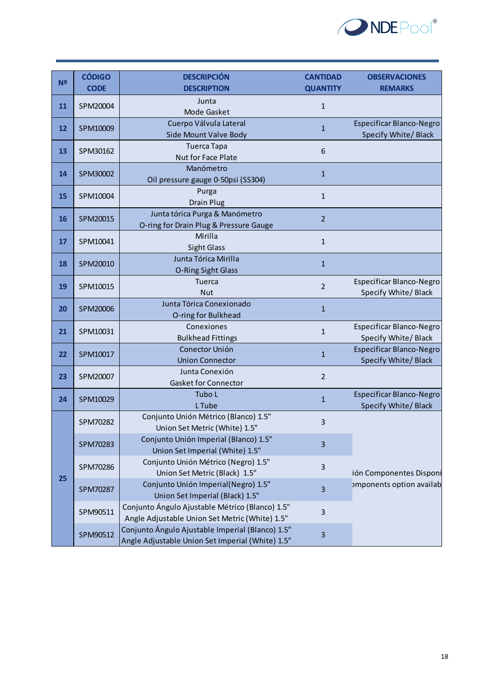

| <b>CODE</b><br><b>DESCRIPTION</b><br><b>QUANTITY</b><br><b>REMARKS</b><br>Junta<br>SPM20004<br>$\mathbf 1$<br>11<br>Mode Gasket<br>Cuerpo Válvula Lateral<br>Especificar Blanco-Negro<br>$\mathbf{1}$<br>12<br>SPM10009<br>Specify White/ Black<br>Side Mount Valve Body<br><b>Tuerca Tapa</b><br>13<br>SPM30162<br>6<br>Nut for Face Plate<br>Manómetro<br>SPM30002<br>14<br>$\mathbf{1}$<br>Oil pressure gauge 0-50psi (SS304)<br>Purga<br>15<br>$\mathbf{1}$<br>SPM10004<br><b>Drain Plug</b><br>Junta tórica Purga & Manómetro<br>$\overline{2}$<br>16<br>SPM20015<br>O-ring for Drain Plug & Pressure Gauge<br>Mirilla<br>SPM10041<br>$\mathbf{1}$<br>17<br><b>Sight Glass</b><br>Junta Tórica Mirilla<br>18<br>$\mathbf{1}$<br>SPM20010<br>O-Ring Sight Glass<br>Especificar Blanco-Negro<br><b>Tuerca</b><br>19<br>$\overline{2}$<br>SPM10015<br>Specify White/Black<br><b>Nut</b><br>Junta Tórica Conexionado<br>SPM20006<br>$\mathbf{1}$<br>20<br>O-ring for Bulkhead<br>Conexiones<br>21<br>SPM10031<br>$\mathbf{1}$<br>Specify White/ Black<br><b>Bulkhead Fittings</b><br>Conector Unión<br>22<br>SPM10017<br>$\mathbf{1}$<br>Specify White/ Black<br><b>Union Connector</b><br>Junta Conexión<br>SPM20007<br>$\overline{2}$<br>23<br><b>Gasket for Connector</b><br>Especificar Blanco-Negro<br>Tubo L<br>$\mathbf{1}$<br>24<br>SPM10029<br>L Tube<br>Specify White/ Black<br>Conjunto Unión Métrico (Blanco) 1.5"<br>3<br>SPM70282<br>Union Set Metric (White) 1.5"<br>Conjunto Unión Imperial (Blanco) 1.5"<br>SPM70283<br>3<br>Union Set Imperial (White) 1.5"<br>Conjunto Unión Métrico (Negro) 1.5"<br>$\mathbf{3}$<br>SPM70286<br>Union Set Metric (Black) 1.5"<br>25<br>Conjunto Unión Imperial(Negro) 1.5"<br>$\overline{\mathbf{3}}$<br>SPM70287<br>Union Set Imperial (Black) 1.5"<br>Conjunto Ángulo Ajustable Métrico (Blanco) 1.5"<br>SPM90511<br>$\mathbf{3}$<br>Angle Adjustable Union Set Metric (White) 1.5"<br>Conjunto Ángulo Ajustable Imperial (Blanco) 1.5"<br>SPM90512<br>3 |                | <b>CÓDIGO</b> | <b>DESCRIPCIÓN</b>                               | <b>CANTIDAD</b> | <b>OBSERVACIONES</b>     |
|-----------------------------------------------------------------------------------------------------------------------------------------------------------------------------------------------------------------------------------------------------------------------------------------------------------------------------------------------------------------------------------------------------------------------------------------------------------------------------------------------------------------------------------------------------------------------------------------------------------------------------------------------------------------------------------------------------------------------------------------------------------------------------------------------------------------------------------------------------------------------------------------------------------------------------------------------------------------------------------------------------------------------------------------------------------------------------------------------------------------------------------------------------------------------------------------------------------------------------------------------------------------------------------------------------------------------------------------------------------------------------------------------------------------------------------------------------------------------------------------------------------------------------------------------------------------------------------------------------------------------------------------------------------------------------------------------------------------------------------------------------------------------------------------------------------------------------------------------------------------------------------------------------------------------------------------------------------------------------------------------------------------|----------------|---------------|--------------------------------------------------|-----------------|--------------------------|
|                                                                                                                                                                                                                                                                                                                                                                                                                                                                                                                                                                                                                                                                                                                                                                                                                                                                                                                                                                                                                                                                                                                                                                                                                                                                                                                                                                                                                                                                                                                                                                                                                                                                                                                                                                                                                                                                                                                                                                                                                 | N <sub>2</sub> |               |                                                  |                 |                          |
|                                                                                                                                                                                                                                                                                                                                                                                                                                                                                                                                                                                                                                                                                                                                                                                                                                                                                                                                                                                                                                                                                                                                                                                                                                                                                                                                                                                                                                                                                                                                                                                                                                                                                                                                                                                                                                                                                                                                                                                                                 |                |               |                                                  |                 |                          |
|                                                                                                                                                                                                                                                                                                                                                                                                                                                                                                                                                                                                                                                                                                                                                                                                                                                                                                                                                                                                                                                                                                                                                                                                                                                                                                                                                                                                                                                                                                                                                                                                                                                                                                                                                                                                                                                                                                                                                                                                                 |                |               |                                                  |                 |                          |
|                                                                                                                                                                                                                                                                                                                                                                                                                                                                                                                                                                                                                                                                                                                                                                                                                                                                                                                                                                                                                                                                                                                                                                                                                                                                                                                                                                                                                                                                                                                                                                                                                                                                                                                                                                                                                                                                                                                                                                                                                 |                |               |                                                  |                 |                          |
|                                                                                                                                                                                                                                                                                                                                                                                                                                                                                                                                                                                                                                                                                                                                                                                                                                                                                                                                                                                                                                                                                                                                                                                                                                                                                                                                                                                                                                                                                                                                                                                                                                                                                                                                                                                                                                                                                                                                                                                                                 |                |               |                                                  |                 |                          |
|                                                                                                                                                                                                                                                                                                                                                                                                                                                                                                                                                                                                                                                                                                                                                                                                                                                                                                                                                                                                                                                                                                                                                                                                                                                                                                                                                                                                                                                                                                                                                                                                                                                                                                                                                                                                                                                                                                                                                                                                                 |                |               |                                                  |                 |                          |
|                                                                                                                                                                                                                                                                                                                                                                                                                                                                                                                                                                                                                                                                                                                                                                                                                                                                                                                                                                                                                                                                                                                                                                                                                                                                                                                                                                                                                                                                                                                                                                                                                                                                                                                                                                                                                                                                                                                                                                                                                 |                |               |                                                  |                 |                          |
|                                                                                                                                                                                                                                                                                                                                                                                                                                                                                                                                                                                                                                                                                                                                                                                                                                                                                                                                                                                                                                                                                                                                                                                                                                                                                                                                                                                                                                                                                                                                                                                                                                                                                                                                                                                                                                                                                                                                                                                                                 |                |               |                                                  |                 |                          |
|                                                                                                                                                                                                                                                                                                                                                                                                                                                                                                                                                                                                                                                                                                                                                                                                                                                                                                                                                                                                                                                                                                                                                                                                                                                                                                                                                                                                                                                                                                                                                                                                                                                                                                                                                                                                                                                                                                                                                                                                                 |                |               |                                                  |                 |                          |
|                                                                                                                                                                                                                                                                                                                                                                                                                                                                                                                                                                                                                                                                                                                                                                                                                                                                                                                                                                                                                                                                                                                                                                                                                                                                                                                                                                                                                                                                                                                                                                                                                                                                                                                                                                                                                                                                                                                                                                                                                 |                |               |                                                  |                 |                          |
|                                                                                                                                                                                                                                                                                                                                                                                                                                                                                                                                                                                                                                                                                                                                                                                                                                                                                                                                                                                                                                                                                                                                                                                                                                                                                                                                                                                                                                                                                                                                                                                                                                                                                                                                                                                                                                                                                                                                                                                                                 |                |               |                                                  |                 |                          |
|                                                                                                                                                                                                                                                                                                                                                                                                                                                                                                                                                                                                                                                                                                                                                                                                                                                                                                                                                                                                                                                                                                                                                                                                                                                                                                                                                                                                                                                                                                                                                                                                                                                                                                                                                                                                                                                                                                                                                                                                                 |                |               |                                                  |                 |                          |
|                                                                                                                                                                                                                                                                                                                                                                                                                                                                                                                                                                                                                                                                                                                                                                                                                                                                                                                                                                                                                                                                                                                                                                                                                                                                                                                                                                                                                                                                                                                                                                                                                                                                                                                                                                                                                                                                                                                                                                                                                 |                |               |                                                  |                 |                          |
|                                                                                                                                                                                                                                                                                                                                                                                                                                                                                                                                                                                                                                                                                                                                                                                                                                                                                                                                                                                                                                                                                                                                                                                                                                                                                                                                                                                                                                                                                                                                                                                                                                                                                                                                                                                                                                                                                                                                                                                                                 |                |               |                                                  |                 |                          |
|                                                                                                                                                                                                                                                                                                                                                                                                                                                                                                                                                                                                                                                                                                                                                                                                                                                                                                                                                                                                                                                                                                                                                                                                                                                                                                                                                                                                                                                                                                                                                                                                                                                                                                                                                                                                                                                                                                                                                                                                                 |                |               |                                                  |                 |                          |
|                                                                                                                                                                                                                                                                                                                                                                                                                                                                                                                                                                                                                                                                                                                                                                                                                                                                                                                                                                                                                                                                                                                                                                                                                                                                                                                                                                                                                                                                                                                                                                                                                                                                                                                                                                                                                                                                                                                                                                                                                 |                |               |                                                  |                 |                          |
|                                                                                                                                                                                                                                                                                                                                                                                                                                                                                                                                                                                                                                                                                                                                                                                                                                                                                                                                                                                                                                                                                                                                                                                                                                                                                                                                                                                                                                                                                                                                                                                                                                                                                                                                                                                                                                                                                                                                                                                                                 |                |               |                                                  |                 |                          |
|                                                                                                                                                                                                                                                                                                                                                                                                                                                                                                                                                                                                                                                                                                                                                                                                                                                                                                                                                                                                                                                                                                                                                                                                                                                                                                                                                                                                                                                                                                                                                                                                                                                                                                                                                                                                                                                                                                                                                                                                                 |                |               |                                                  |                 |                          |
|                                                                                                                                                                                                                                                                                                                                                                                                                                                                                                                                                                                                                                                                                                                                                                                                                                                                                                                                                                                                                                                                                                                                                                                                                                                                                                                                                                                                                                                                                                                                                                                                                                                                                                                                                                                                                                                                                                                                                                                                                 |                |               |                                                  |                 |                          |
|                                                                                                                                                                                                                                                                                                                                                                                                                                                                                                                                                                                                                                                                                                                                                                                                                                                                                                                                                                                                                                                                                                                                                                                                                                                                                                                                                                                                                                                                                                                                                                                                                                                                                                                                                                                                                                                                                                                                                                                                                 |                |               |                                                  |                 | Especificar Blanco-Negro |
|                                                                                                                                                                                                                                                                                                                                                                                                                                                                                                                                                                                                                                                                                                                                                                                                                                                                                                                                                                                                                                                                                                                                                                                                                                                                                                                                                                                                                                                                                                                                                                                                                                                                                                                                                                                                                                                                                                                                                                                                                 |                |               |                                                  |                 |                          |
|                                                                                                                                                                                                                                                                                                                                                                                                                                                                                                                                                                                                                                                                                                                                                                                                                                                                                                                                                                                                                                                                                                                                                                                                                                                                                                                                                                                                                                                                                                                                                                                                                                                                                                                                                                                                                                                                                                                                                                                                                 |                |               |                                                  |                 | Especificar Blanco-Negro |
|                                                                                                                                                                                                                                                                                                                                                                                                                                                                                                                                                                                                                                                                                                                                                                                                                                                                                                                                                                                                                                                                                                                                                                                                                                                                                                                                                                                                                                                                                                                                                                                                                                                                                                                                                                                                                                                                                                                                                                                                                 |                |               |                                                  |                 |                          |
|                                                                                                                                                                                                                                                                                                                                                                                                                                                                                                                                                                                                                                                                                                                                                                                                                                                                                                                                                                                                                                                                                                                                                                                                                                                                                                                                                                                                                                                                                                                                                                                                                                                                                                                                                                                                                                                                                                                                                                                                                 |                |               |                                                  |                 |                          |
|                                                                                                                                                                                                                                                                                                                                                                                                                                                                                                                                                                                                                                                                                                                                                                                                                                                                                                                                                                                                                                                                                                                                                                                                                                                                                                                                                                                                                                                                                                                                                                                                                                                                                                                                                                                                                                                                                                                                                                                                                 |                |               |                                                  |                 |                          |
|                                                                                                                                                                                                                                                                                                                                                                                                                                                                                                                                                                                                                                                                                                                                                                                                                                                                                                                                                                                                                                                                                                                                                                                                                                                                                                                                                                                                                                                                                                                                                                                                                                                                                                                                                                                                                                                                                                                                                                                                                 |                |               |                                                  |                 |                          |
|                                                                                                                                                                                                                                                                                                                                                                                                                                                                                                                                                                                                                                                                                                                                                                                                                                                                                                                                                                                                                                                                                                                                                                                                                                                                                                                                                                                                                                                                                                                                                                                                                                                                                                                                                                                                                                                                                                                                                                                                                 |                |               |                                                  |                 |                          |
|                                                                                                                                                                                                                                                                                                                                                                                                                                                                                                                                                                                                                                                                                                                                                                                                                                                                                                                                                                                                                                                                                                                                                                                                                                                                                                                                                                                                                                                                                                                                                                                                                                                                                                                                                                                                                                                                                                                                                                                                                 |                |               |                                                  |                 |                          |
|                                                                                                                                                                                                                                                                                                                                                                                                                                                                                                                                                                                                                                                                                                                                                                                                                                                                                                                                                                                                                                                                                                                                                                                                                                                                                                                                                                                                                                                                                                                                                                                                                                                                                                                                                                                                                                                                                                                                                                                                                 |                |               |                                                  |                 |                          |
|                                                                                                                                                                                                                                                                                                                                                                                                                                                                                                                                                                                                                                                                                                                                                                                                                                                                                                                                                                                                                                                                                                                                                                                                                                                                                                                                                                                                                                                                                                                                                                                                                                                                                                                                                                                                                                                                                                                                                                                                                 |                |               |                                                  |                 |                          |
|                                                                                                                                                                                                                                                                                                                                                                                                                                                                                                                                                                                                                                                                                                                                                                                                                                                                                                                                                                                                                                                                                                                                                                                                                                                                                                                                                                                                                                                                                                                                                                                                                                                                                                                                                                                                                                                                                                                                                                                                                 |                |               |                                                  |                 |                          |
|                                                                                                                                                                                                                                                                                                                                                                                                                                                                                                                                                                                                                                                                                                                                                                                                                                                                                                                                                                                                                                                                                                                                                                                                                                                                                                                                                                                                                                                                                                                                                                                                                                                                                                                                                                                                                                                                                                                                                                                                                 |                |               |                                                  |                 | ión Componentes Disponi  |
|                                                                                                                                                                                                                                                                                                                                                                                                                                                                                                                                                                                                                                                                                                                                                                                                                                                                                                                                                                                                                                                                                                                                                                                                                                                                                                                                                                                                                                                                                                                                                                                                                                                                                                                                                                                                                                                                                                                                                                                                                 |                |               |                                                  |                 | omponents option availab |
|                                                                                                                                                                                                                                                                                                                                                                                                                                                                                                                                                                                                                                                                                                                                                                                                                                                                                                                                                                                                                                                                                                                                                                                                                                                                                                                                                                                                                                                                                                                                                                                                                                                                                                                                                                                                                                                                                                                                                                                                                 |                |               |                                                  |                 |                          |
|                                                                                                                                                                                                                                                                                                                                                                                                                                                                                                                                                                                                                                                                                                                                                                                                                                                                                                                                                                                                                                                                                                                                                                                                                                                                                                                                                                                                                                                                                                                                                                                                                                                                                                                                                                                                                                                                                                                                                                                                                 |                |               |                                                  |                 |                          |
|                                                                                                                                                                                                                                                                                                                                                                                                                                                                                                                                                                                                                                                                                                                                                                                                                                                                                                                                                                                                                                                                                                                                                                                                                                                                                                                                                                                                                                                                                                                                                                                                                                                                                                                                                                                                                                                                                                                                                                                                                 |                |               |                                                  |                 |                          |
|                                                                                                                                                                                                                                                                                                                                                                                                                                                                                                                                                                                                                                                                                                                                                                                                                                                                                                                                                                                                                                                                                                                                                                                                                                                                                                                                                                                                                                                                                                                                                                                                                                                                                                                                                                                                                                                                                                                                                                                                                 |                |               | Angle Adjustable Union Set Imperial (White) 1.5" |                 |                          |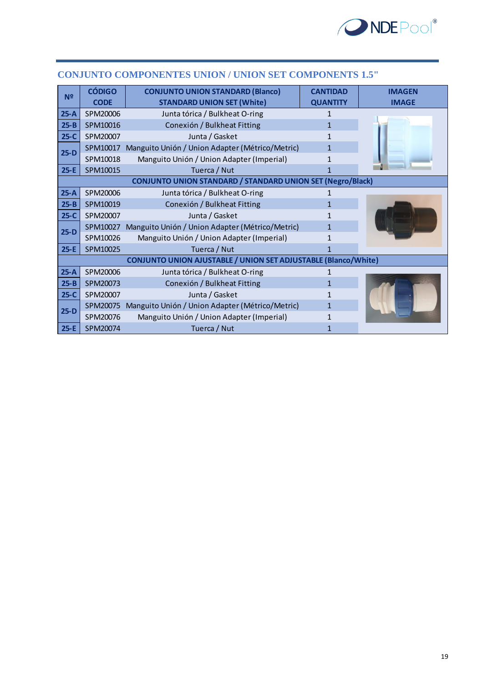

| N <sub>2</sub> | <b>CÓDIGO</b> | <b>CONJUNTO UNION STANDARD (Blanco)</b>                           | <b>CANTIDAD</b> | <b>IMAGEN</b> |
|----------------|---------------|-------------------------------------------------------------------|-----------------|---------------|
|                | <b>CODE</b>   | <b>STANDARD UNION SET (White)</b>                                 | <b>QUANTITY</b> | <b>IMAGE</b>  |
| $25-A$         | SPM20006      | Junta tórica / Bulkheat O-ring                                    | 1               |               |
| $25 - B$       | SPM10016      | Conexión / Bulkheat Fitting                                       | $\mathbf{1}$    |               |
| $25-C$         | SPM20007      | Junta / Gasket                                                    |                 |               |
| $25-D$         | SPM10017      | Manguito Unión / Union Adapter (Métrico/Metric)                   | 1               |               |
|                | SPM10018      | Manguito Unión / Union Adapter (Imperial)                         | 1               |               |
| $25-E$         | SPM10015      | Tuerca / Nut                                                      | 1               |               |
|                |               | <b>CONJUNTO UNION STANDARD / STANDARD UNION SET (Negro/Black)</b> |                 |               |
| $25-A$         | SPM20006      | Junta tórica / Bulkheat O-ring                                    |                 |               |
| $25 - B$       | SPM10019      | Conexión / Bulkheat Fitting                                       | 1               |               |
| $25-C$         | SPM20007      | Junta / Gasket                                                    |                 |               |
| $25-D$         | SPM10027      | Manguito Unión / Union Adapter (Métrico/Metric)                   | 1               |               |
|                | SPM10026      | Manguito Unión / Union Adapter (Imperial)                         | 1               |               |
| $25-E$         | SPM10025      | Tuerca / Nut                                                      |                 |               |
|                |               | CONJUNTO UNION AJUSTABLE / UNION SET ADJUSTABLE (Blanco/White)    |                 |               |
| $25-A$         | SPM20006      | Junta tórica / Bulkheat O-ring                                    |                 |               |
| $25 - B$       | SPM20073      | Conexión / Bulkheat Fitting                                       | 1               |               |
| $25-C$         | SPM20007      | Junta / Gasket                                                    | 1               |               |
| $25-D$         | SPM20075      | Manguito Unión / Union Adapter (Métrico/Metric)                   | 1               |               |
|                | SPM20076      | Manguito Unión / Union Adapter (Imperial)                         |                 |               |
| $25-E$         | SPM20074      | Tuerca / Nut                                                      |                 |               |

#### **CONJUNTO COMPONENTES UNION / UNION SET COMPONENTS 1.5"**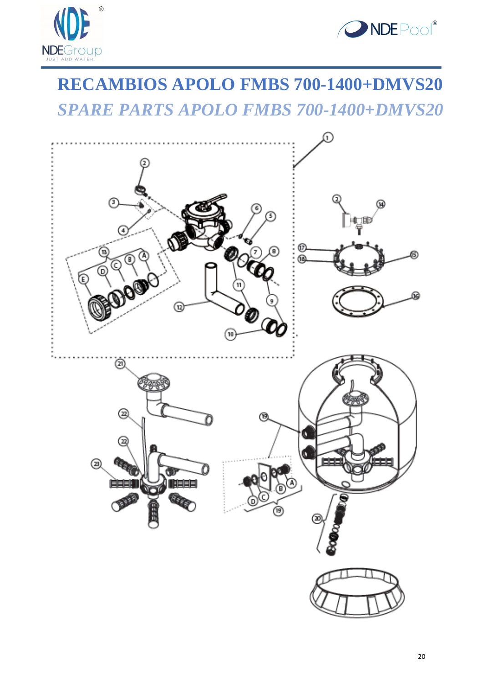



### **RECAMBIOS APOLO FMBS 700-1400+DMVS20** *SPARE PARTS APOLO FMBS 700-1400+DMVS20*

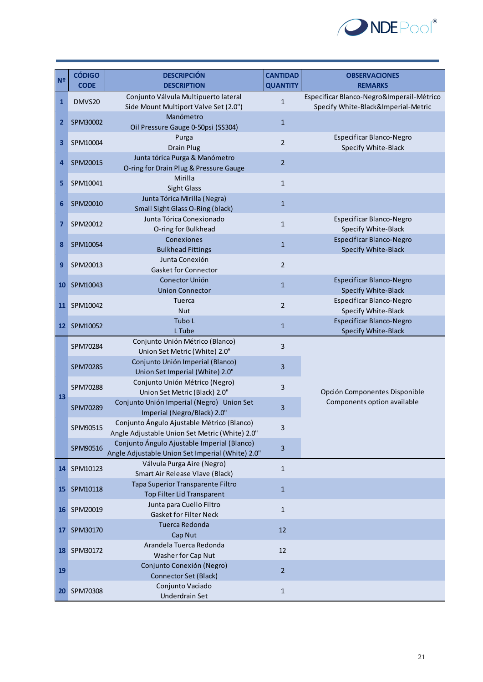

| N <sup>2</sup> | <b>CÓDIGO</b> | <b>DESCRIPCIÓN</b>                                                                              | <b>CANTIDAD</b> | <b>OBSERVACIONES</b>                                                             |
|----------------|---------------|-------------------------------------------------------------------------------------------------|-----------------|----------------------------------------------------------------------------------|
|                | <b>CODE</b>   | <b>DESCRIPTION</b>                                                                              | <b>QUANTITY</b> | <b>REMARKS</b>                                                                   |
| $\mathbf{1}$   | DMVS20        | Conjunto Válvula Multipuerto lateral<br>Side Mount Multiport Valve Set (2.0")                   | $\mathbf{1}$    | Especificar Blanco-Negro&Imperail-Métrico<br>Specify White-Black&Imperial-Metric |
| $\mathbf{2}$   | SPM30002      | Manómetro<br>Oil Pressure Gauge 0-50psi (SS304)                                                 | $\mathbf{1}$    |                                                                                  |
| 3              | SPM10004      | Purga<br><b>Drain Plug</b>                                                                      | $\overline{2}$  | Especificar Blanco-Negro<br>Specify White-Black                                  |
| 4              | SPM20015      | Junta tórica Purga & Manómetro<br>O-ring for Drain Plug & Pressure Gauge                        | $\overline{2}$  |                                                                                  |
| 5              | SPM10041      | Mirilla<br>Sight Glass                                                                          | $\mathbf 1$     |                                                                                  |
| 6              | SPM20010      | Junta Tórica Mirilla (Negra)<br>Small Sight Glass O-Ring (black)                                | $\mathbf{1}$    |                                                                                  |
| 7              | SPM20012      | Junta Tórica Conexionado<br>O-ring for Bulkhead                                                 | $\mathbf{1}$    | Especificar Blanco-Negro<br>Specify White-Black                                  |
| 8              | SPM10054      | Conexiones<br><b>Bulkhead Fittings</b>                                                          | $\mathbf{1}$    | Especificar Blanco-Negro<br>Specify White-Black                                  |
| 9              | SPM20013      | Junta Conexión<br><b>Gasket for Connector</b>                                                   | $\overline{2}$  |                                                                                  |
| 10             | SPM10043      | Conector Unión<br><b>Union Connector</b>                                                        | $\mathbf 1$     | Especificar Blanco-Negro<br>Specify White-Black                                  |
| 11             | SPM10042      | <b>Tuerca</b><br><b>Nut</b>                                                                     | $\overline{2}$  | Especificar Blanco-Negro<br>Specify White-Black                                  |
|                | 12 SPM10052   | Tubo L<br>L Tube                                                                                | $\mathbf{1}$    | Especificar Blanco-Negro<br>Specify White-Black                                  |
|                | SPM70284      | Conjunto Unión Métrico (Blanco)<br>Union Set Metric (White) 2.0"                                | $\overline{3}$  |                                                                                  |
|                | SPM70285      | Conjunto Unión Imperial (Blanco)<br>Union Set Imperial (White) 2.0"                             | 3               |                                                                                  |
| 13             | SPM70288      | Conjunto Unión Métrico (Negro)<br>Union Set Metric (Black) 2.0"                                 | 3               | Opción Componentes Disponible                                                    |
|                | SPM70289      | Conjunto Unión Imperial (Negro) Union Set<br>Imperial (Negro/Black) 2.0"                        | 3               | Components option available                                                      |
|                | SPM90515      | Conjunto Ángulo Ajustable Métrico (Blanco)<br>Angle Adjustable Union Set Metric (White) 2.0"    | 3               |                                                                                  |
|                | SPM90516      | Conjunto Ángulo Ajustable Imperial (Blanco)<br>Angle Adjustable Union Set Imperial (White) 2.0" | 3               |                                                                                  |
|                | 14 SPM10123   | Válvula Purga Aire (Negro)<br>Smart Air Release Vlave (Black)                                   | $\mathbf{1}$    |                                                                                  |
| 15             | SPM10118      | Tapa Superior Transparente Filtro<br>Top Filter Lid Transparent                                 | $\mathbf{1}$    |                                                                                  |
|                | 16 SPM20019   | Junta para Cuello Filtro<br><b>Gasket for Filter Neck</b>                                       | $\mathbf{1}$    |                                                                                  |
| 17             | SPM30170      | Tuerca Redonda<br>Cap Nut                                                                       | 12              |                                                                                  |
|                | 18 SPM30172   | Arandela Tuerca Redonda<br>Washer for Cap Nut                                                   | 12              |                                                                                  |
| 19             |               | Conjunto Conexión (Negro)<br><b>Connector Set (Black)</b>                                       | $\overline{2}$  |                                                                                  |
|                | 20 SPM70308   | Conjunto Vaciado<br>Underdrain Set                                                              | $1\,$           |                                                                                  |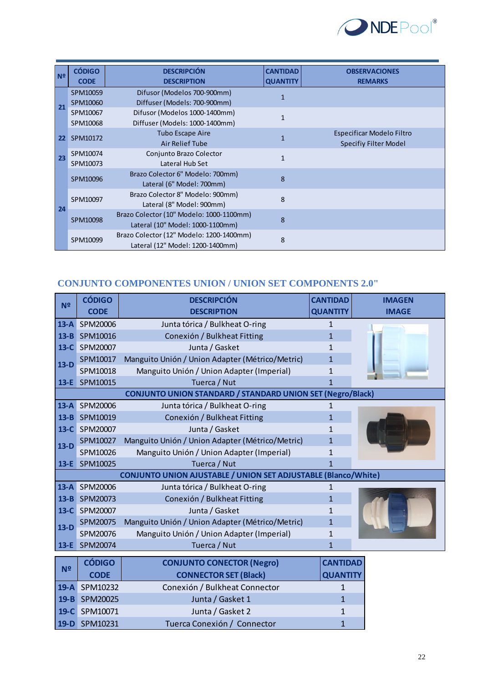

| N <sup>2</sup> | <b>CÓDIGO</b> | <b>DESCRIPCIÓN</b>                       | <b>CANTIDAD</b> | <b>OBSERVACIONES</b>      |
|----------------|---------------|------------------------------------------|-----------------|---------------------------|
|                | <b>CODE</b>   | <b>DESCRIPTION</b>                       | <b>QUANTITY</b> | <b>REMARKS</b>            |
|                | SPM10059      | Difusor (Modelos 700-900mm)              |                 |                           |
| 21             | SPM10060      | Diffuser (Models: 700-900mm)             |                 |                           |
|                | SPM10067      | Difusor (Modelos 1000-1400mm)            | 1               |                           |
|                | SPM10068      | Diffuser (Models: 1000-1400mm)           |                 |                           |
| 22             | SPM10172      | <b>Tubo Escape Aire</b>                  |                 | Especificar Modelo Filtro |
|                |               | Air Relief Tube                          |                 | Specifiy Filter Model     |
| 23             | SPM10074      | Conjunto Brazo Colector                  | $\mathbf{1}$    |                           |
|                | SPM10073      | Lateral Hub Set                          |                 |                           |
|                | SPM10096      | Brazo Colector 6" Modelo: 700mm)         | $\mathbf{8}$    |                           |
|                |               | Lateral (6" Model: 700mm)                |                 |                           |
|                | SPM10097      | Brazo Colector 8" Modelo: 900mm)         | 8               |                           |
| 24             |               | Lateral (8" Model: 900mm)                |                 |                           |
|                | SPM10098      | Brazo Colector (10" Modelo: 1000-1100mm) | $\mathbf{8}$    |                           |
|                |               | Lateral (10" Model: 1000-1100mm)         |                 |                           |
|                |               | Brazo Colector (12" Modelo: 1200-1400mm) | 8               |                           |
|                | SPM10099      | Lateral (12" Model: 1200-1400mm)         |                 |                           |

### **CONJUNTO COMPONENTES UNION / UNION SET COMPONENTS 2.0"**

|                | <b>CÓDIGO</b> | <b>DESCRIPCIÓN</b>                                             | <b>CANTIDAD</b> | <b>IMAGEN</b> |
|----------------|---------------|----------------------------------------------------------------|-----------------|---------------|
| N <sup>o</sup> | <b>CODE</b>   | <b>DESCRIPTION</b>                                             | <b>QUANTITY</b> | <b>IMAGE</b>  |
| $13-A$         | SPM20006      | Junta tórica / Bulkheat O-ring                                 | 1               |               |
| $13 - B$       | SPM10016      | Conexión / Bulkheat Fitting                                    | $\mathbf{1}$    |               |
| $13-C$         | SPM20007      | Junta / Gasket                                                 | 1               |               |
| $13-D$         | SPM10017      | Manguito Unión / Union Adapter (Métrico/Metric)                | $\mathbf{1}$    |               |
|                | SPM10018      | Manguito Unión / Union Adapter (Imperial)                      | 1               |               |
|                | 13-E SPM10015 | Tuerca / Nut                                                   | $\mathbf{1}$    |               |
|                |               | CONJUNTO UNION STANDARD / STANDARD UNION SET (Negro/Black)     |                 |               |
| $13-A$         | SPM20006      | Junta tórica / Bulkheat O-ring                                 | 1               |               |
| $13 - B$       | SPM10019      | Conexión / Bulkheat Fitting                                    | $\mathbf{1}$    |               |
| $13-C$         | SPM20007      | Junta / Gasket                                                 | 1               |               |
| $13-D$         | SPM10027      | Manguito Unión / Union Adapter (Métrico/Metric)                | 1               |               |
|                | SPM10026      | Manguito Unión / Union Adapter (Imperial)                      | 1               |               |
|                | 13-E SPM10025 | Tuerca / Nut                                                   |                 |               |
|                |               | CONJUNTO UNION AJUSTABLE / UNION SET ADJUSTABLE (Blanco/White) |                 |               |
| $13-A$         | SPM20006      | Junta tórica / Bulkheat O-ring                                 | 1               |               |
| $13 - B$       | SPM20073      | Conexión / Bulkheat Fitting                                    | $\mathbf{1}$    |               |
| $13-C$         | SPM20007      | Junta / Gasket                                                 | 1               |               |
| $13-D$         | SPM20075      | Manguito Unión / Union Adapter (Métrico/Metric)                | $\mathbf{1}$    |               |
|                | SPM20076      | Manguito Unión / Union Adapter (Imperial)                      | 1               |               |
| $13-E$         | SPM20074      | Tuerca / Nut                                                   | 1               |               |
|                | <b>CÓDIGO</b> | <b>CONJUNTO CONECTOR (Negro)</b>                               | <b>CANTIDAD</b> |               |
| N <sup>2</sup> | <b>CODE</b>   | <b>CONNECTOR SET (Black)</b>                                   | <b>QUANTITY</b> |               |
| $19-A$         | SPM10232      | Conexión / Bulkheat Connector                                  | 1               |               |
| $19 - B$       | SPM20025      | Junta / Gasket 1                                               | $\mathbf{1}$    |               |
| $19-C$         | SPM10071      | Junta / Gasket 2                                               | 1               |               |
|                | 19-D SPM10231 | Tuerca Conexión / Connector                                    | 1               |               |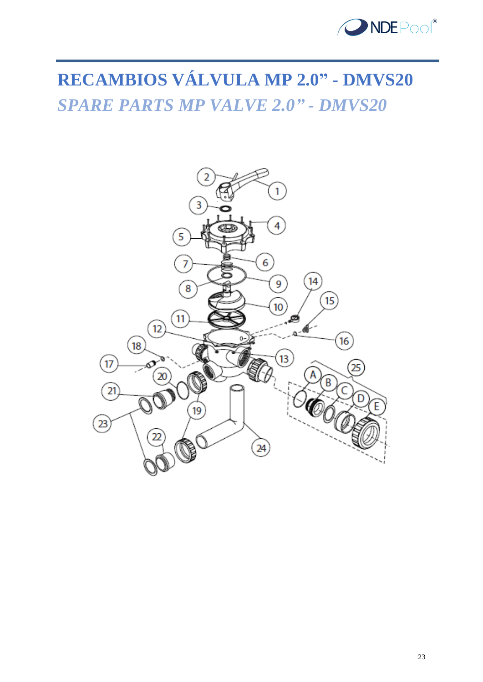

## **RECAMBIOS VÁLVULA MP 2.0" - DMVS20** *SPARE PARTS MP VALVE 2.0" - DMVS20*

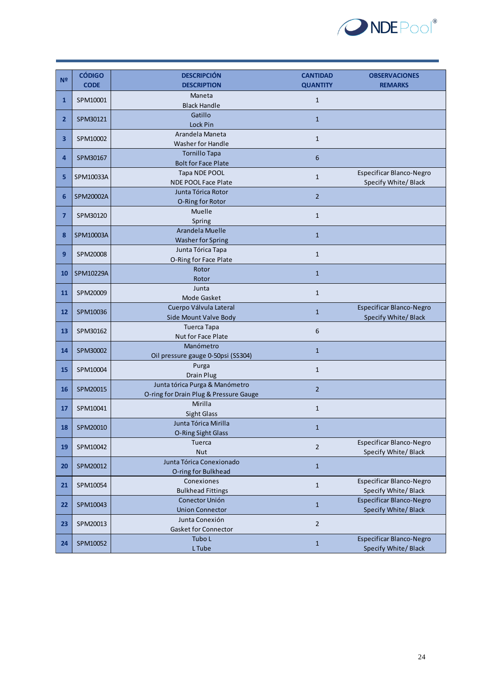

|                | <b>CÓDIGO</b>          | <b>DESCRIPCIÓN</b>                     | <b>CANTIDAD</b> | <b>OBSERVACIONES</b>     |
|----------------|------------------------|----------------------------------------|-----------------|--------------------------|
| N <sup>2</sup> | <b>CODE</b>            | <b>DESCRIPTION</b>                     | <b>QUANTITY</b> | <b>REMARKS</b>           |
|                |                        | Maneta                                 |                 |                          |
| $\mathbf{1}$   | SPM10001               | <b>Black Handle</b>                    | $\mathbf{1}$    |                          |
| $\overline{2}$ | SPM30121               | Gatillo                                |                 |                          |
|                |                        | Lock Pin                               | $\mathbf{1}$    |                          |
| 3              | SPM10002               | Arandela Maneta                        | $\mathbf{1}$    |                          |
|                |                        | Washer for Handle                      |                 |                          |
| 4              | SPM30167               | <b>Tornillo Tapa</b>                   | $6\phantom{1}6$ |                          |
|                |                        | <b>Bolt for Face Plate</b>             |                 |                          |
| 5.             | SPM10033A<br>SPM20002A | Tapa NDE POOL                          | $\mathbf{1}$    | Especificar Blanco-Negro |
|                |                        | <b>NDE POOL Face Plate</b>             |                 | Specify White/Black      |
| 6              |                        | Junta Tórica Rotor                     | $\overline{2}$  |                          |
|                |                        | O-Ring for Rotor                       |                 |                          |
| 7              | SPM30120               | Muelle                                 | $\mathbf{1}$    |                          |
|                |                        | Spring<br>Arandela Muelle              |                 |                          |
| 8              | SPM10003A              | <b>Washer for Spring</b>               | $\mathbf{1}$    |                          |
|                |                        | Junta Tórica Tapa                      |                 |                          |
| 9              | SPM20008               | O-Ring for Face Plate                  | $\mathbf{1}$    |                          |
|                |                        | Rotor                                  |                 |                          |
| 10             | SPM10229A              | Rotor                                  | $\mathbf{1}$    |                          |
|                |                        | Junta                                  |                 |                          |
| 11             | SPM20009               | Mode Gasket                            | $\mathbf{1}$    |                          |
|                | SPM10036               | Cuerpo Válvula Lateral                 |                 | Especificar Blanco-Negro |
| 12             |                        | Side Mount Valve Body                  | $\mathbf{1}$    | Specify White/Black      |
| 13             | SPM30162               | <b>Tuerca Tapa</b>                     | 6               |                          |
|                |                        | Nut for Face Plate                     |                 |                          |
| 14             | SPM30002               | Manómetro                              | $\mathbf{1}$    |                          |
|                |                        | Oil pressure gauge 0-50psi (SS304)     |                 |                          |
| 15             | SPM10004               | Purga                                  | $\mathbf{1}$    |                          |
|                |                        | Drain Plug                             |                 |                          |
| 16             | SPM20015               | Junta tórica Purga & Manómetro         | $\overline{2}$  |                          |
|                |                        | O-ring for Drain Plug & Pressure Gauge |                 |                          |
| 17             | SPM10041               | Mirilla                                | $\mathbf{1}$    |                          |
|                |                        | <b>Sight Glass</b>                     |                 |                          |
| 18             | SPM20010               | Junta Tórica Mirilla                   | $\mathbf{1}$    |                          |
|                |                        | O-Ring Sight Glass<br><b>Tuerca</b>    |                 | Especificar Blanco-Negro |
| 19             | SPM10042               | Nut                                    | $\mathbf 2$     | Specify White/Black      |
|                | SPM20012               | Junta Tórica Conexionado               |                 |                          |
| 20             |                        | O-ring for Bulkhead                    | $\mathbf 1$     |                          |
|                | SPM10054               | Conexiones                             |                 | Especificar Blanco-Negro |
| 21             |                        | <b>Bulkhead Fittings</b>               | $\mathbf 1$     | Specify White/Black      |
|                | SPM10043               | Conector Unión                         |                 | Especificar Blanco-Negro |
| 22             |                        | <b>Union Connector</b>                 | $\mathbf{1}$    | Specify White/Black      |
|                |                        | Junta Conexión                         |                 |                          |
| 23             | SPM20013               | Gasket for Connector                   | $\sqrt{2}$      |                          |
| 24             | SPM10052               | Tubo L                                 | $\mathbf{1}$    | Especificar Blanco-Negro |
|                |                        | L Tube                                 |                 | Specify White/Black      |